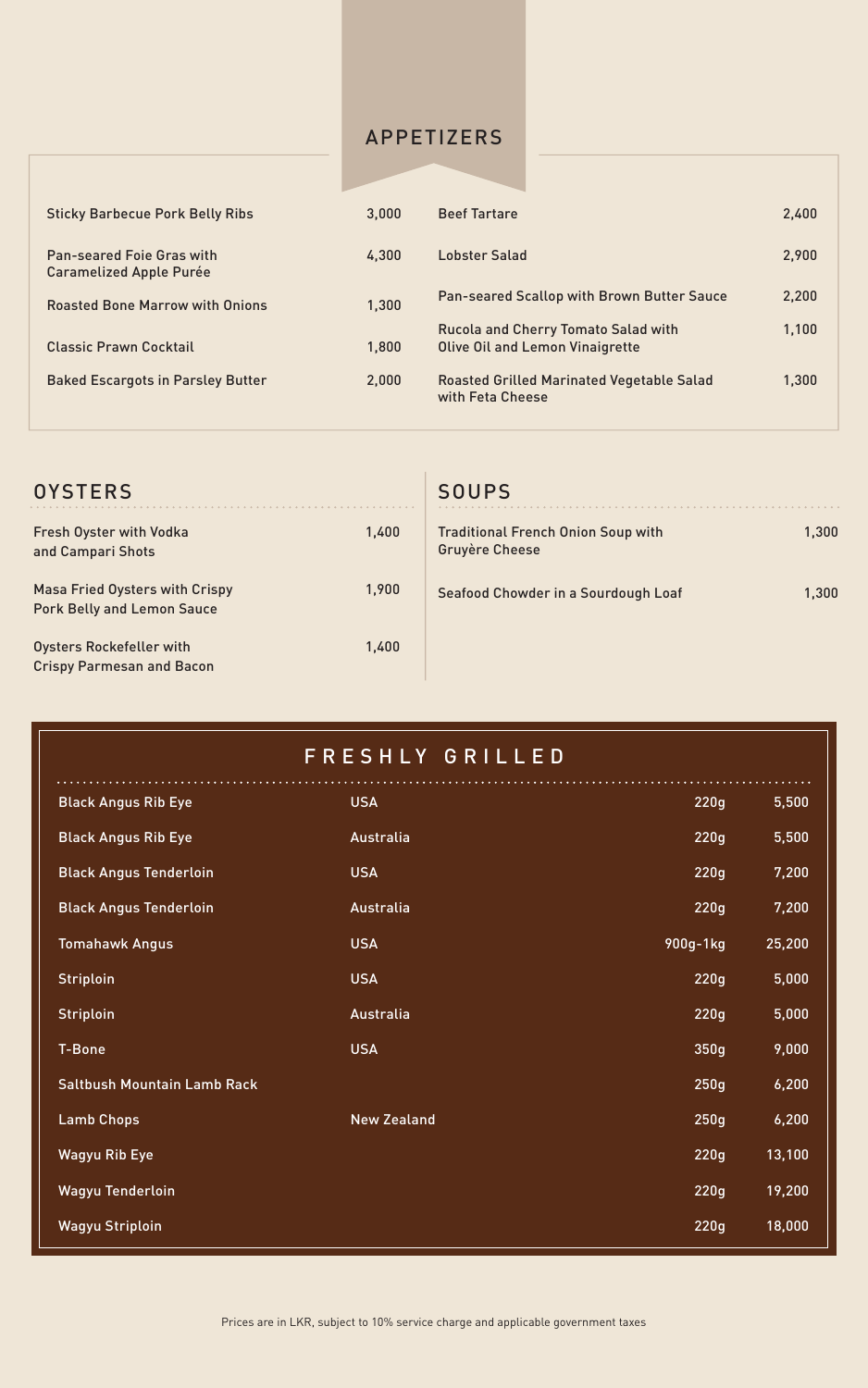| <b>OYSTERS</b>                                                             |       | <b>SOUPS</b>                                                       |       |
|----------------------------------------------------------------------------|-------|--------------------------------------------------------------------|-------|
| <b>Fresh Oyster with Vodka</b><br>and Campari Shots                        | 1,400 | <b>Traditional French Onion Soup with</b><br><b>Gruyère Cheese</b> | 1,300 |
| <b>Masa Fried Oysters with Crispy</b><br><b>Pork Belly and Lemon Sauce</b> | 1,900 | Seafood Chowder in a Sourdough Loaf                                | 1,300 |
| Oysters Rockefeller with<br><b>Crispy Parmesan and Bacon</b>               | 1,400 |                                                                    |       |

| <b>Sticky Barbecue Pork Belly Ribs</b>                             | 3,000 | <b>Beef Tartare</b>                                                                  | 2,400 |
|--------------------------------------------------------------------|-------|--------------------------------------------------------------------------------------|-------|
| <b>Pan-seared Foie Gras with</b><br><b>Caramelized Apple Purée</b> | 4,300 | <b>Lobster Salad</b>                                                                 | 2,900 |
| <b>Roasted Bone Marrow with Onions</b>                             | 1,300 | <b>Pan-seared Scallop with Brown Butter Sauce</b>                                    | 2,200 |
| <b>Classic Prawn Cocktail</b>                                      | 1,800 | <b>Rucola and Cherry Tomato Salad with</b><br><b>Olive Oil and Lemon Vinaigrette</b> | 1,100 |
| <b>Baked Escargots in Parsley Butter</b>                           | 2,000 | <b>Roasted Grilled Marinated Vegetable Salad</b><br>with Feta Cheese                 | 1,300 |

| FRESHLY GRILLED                    |                    |          |        |  |  |  |
|------------------------------------|--------------------|----------|--------|--|--|--|
| <b>Black Angus Rib Eye</b>         | <b>USA</b>         | 220g     | 5,500  |  |  |  |
| <b>Black Angus Rib Eye</b>         | Australia          | 220g     | 5,500  |  |  |  |
| <b>Black Angus Tenderloin</b>      | <b>USA</b>         | 220g     | 7,200  |  |  |  |
| <b>Black Angus Tenderloin</b>      | <b>Australia</b>   | 220g     | 7,200  |  |  |  |
| <b>Tomahawk Angus</b>              | <b>USA</b>         | 900g-1kg | 25,200 |  |  |  |
| <b>Striploin</b>                   | <b>USA</b>         | 220g     | 5,000  |  |  |  |
| <b>Striploin</b>                   | <b>Australia</b>   | 220g     | 5,000  |  |  |  |
| <b>T-Bone</b>                      | <b>USA</b>         | 350g     | 9,000  |  |  |  |
| <b>Saltbush Mountain Lamb Rack</b> |                    | 250g     | 6,200  |  |  |  |
| <b>Lamb Chops</b>                  | <b>New Zealand</b> | 250g     | 6,200  |  |  |  |
| <b>Wagyu Rib Eye</b>               |                    | 220g     | 13,100 |  |  |  |
| <b>Wagyu Tenderloin</b>            |                    | 220g     | 19,200 |  |  |  |
| <b>Wagyu Striploin</b>             |                    | 220g     | 18,000 |  |  |  |

#### APPETIZERS

Prices are in LKR, subject to 10% service charge and applicable government taxes